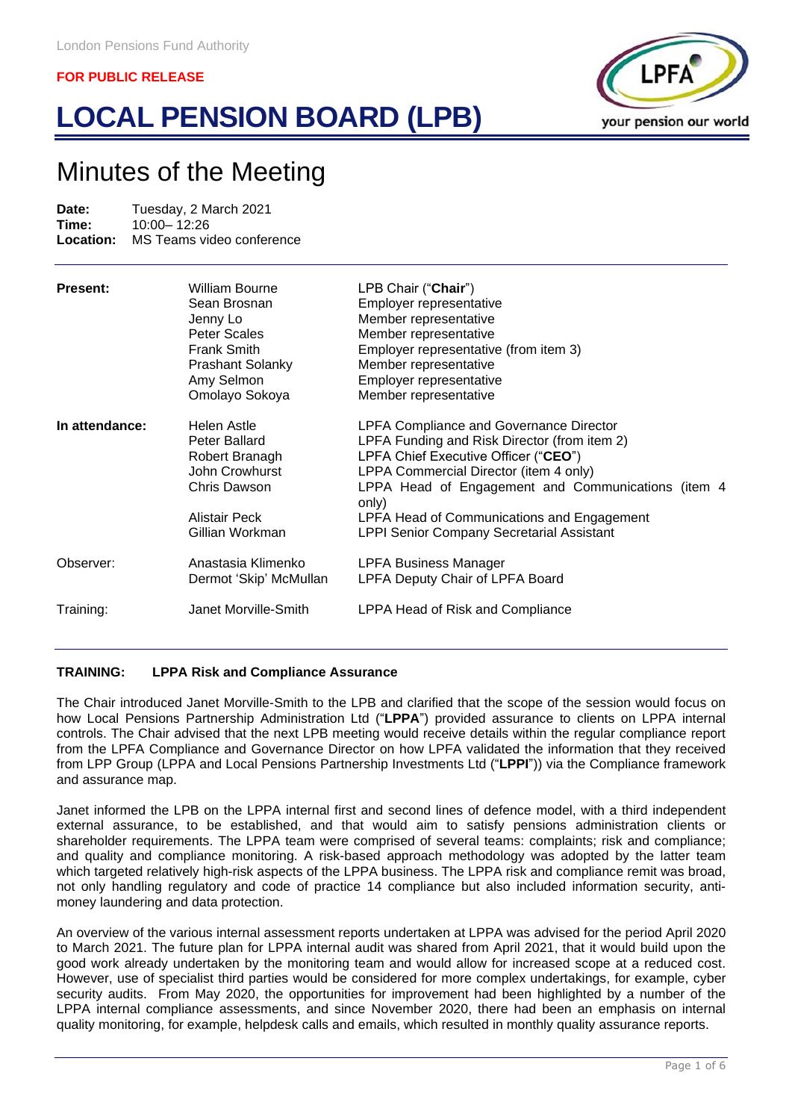# **LOCAL PENSION BOARD (LPB)**



# Minutes of the Meeting

**Date:** Tuesday, 2 March 2021<br> **Time:** 10:00 - 12:26 **Time:** 10:00-12:26<br> **Location:** MS Teams vie **Location:** MS Teams video conference

| Present:       | William Bourne<br>Sean Brosnan<br>Jenny Lo<br>Peter Scales<br><b>Frank Smith</b><br><b>Prashant Solanky</b><br>Amy Selmon<br>Omolayo Sokoya | LPB Chair ("Chair")<br>Employer representative<br>Member representative<br>Member representative<br>Employer representative (from item 3)<br>Member representative<br>Employer representative<br>Member representative                                                                                                                            |
|----------------|---------------------------------------------------------------------------------------------------------------------------------------------|---------------------------------------------------------------------------------------------------------------------------------------------------------------------------------------------------------------------------------------------------------------------------------------------------------------------------------------------------|
| In attendance: | Helen Astle<br>Peter Ballard<br>Robert Branagh<br>John Crowhurst<br>Chris Dawson<br>Alistair Peck<br>Gillian Workman                        | <b>LPFA Compliance and Governance Director</b><br>LPFA Funding and Risk Director (from item 2)<br>LPFA Chief Executive Officer ("CEO")<br>LPPA Commercial Director (item 4 only)<br>LPPA Head of Engagement and Communications (item 4<br>only)<br>LPFA Head of Communications and Engagement<br><b>LPPI Senior Company Secretarial Assistant</b> |
| Observer:      | Anastasia Klimenko<br>Dermot 'Skip' McMullan                                                                                                | <b>LPFA Business Manager</b><br>LPFA Deputy Chair of LPFA Board                                                                                                                                                                                                                                                                                   |
| Training:      | Janet Morville-Smith                                                                                                                        | LPPA Head of Risk and Compliance                                                                                                                                                                                                                                                                                                                  |

# **TRAINING: LPPA Risk and Compliance Assurance**

The Chair introduced Janet Morville-Smith to the LPB and clarified that the scope of the session would focus on how Local Pensions Partnership Administration Ltd ("**LPPA**") provided assurance to clients on LPPA internal controls. The Chair advised that the next LPB meeting would receive details within the regular compliance report from the LPFA Compliance and Governance Director on how LPFA validated the information that they received from LPP Group (LPPA and Local Pensions Partnership Investments Ltd ("**LPPI**")) via the Compliance framework and assurance map.

Janet informed the LPB on the LPPA internal first and second lines of defence model, with a third independent external assurance, to be established, and that would aim to satisfy pensions administration clients or shareholder requirements. The LPPA team were comprised of several teams: complaints; risk and compliance; and quality and compliance monitoring. A risk-based approach methodology was adopted by the latter team which targeted relatively high-risk aspects of the LPPA business. The LPPA risk and compliance remit was broad, not only handling regulatory and code of practice 14 compliance but also included information security, antimoney laundering and data protection.

An overview of the various internal assessment reports undertaken at LPPA was advised for the period April 2020 to March 2021. The future plan for LPPA internal audit was shared from April 2021, that it would build upon the good work already undertaken by the monitoring team and would allow for increased scope at a reduced cost. However, use of specialist third parties would be considered for more complex undertakings, for example, cyber security audits. From May 2020, the opportunities for improvement had been highlighted by a number of the LPPA internal compliance assessments, and since November 2020, there had been an emphasis on internal quality monitoring, for example, helpdesk calls and emails, which resulted in monthly quality assurance reports.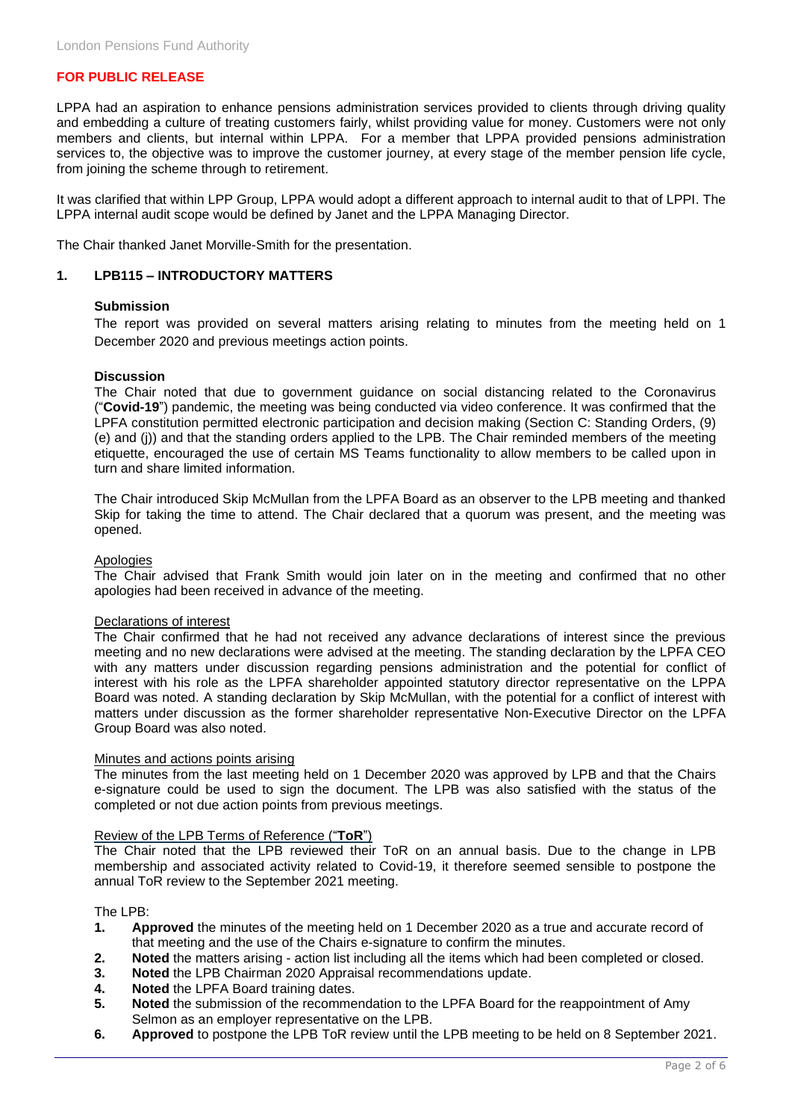LPPA had an aspiration to enhance pensions administration services provided to clients through driving quality and embedding a culture of treating customers fairly, whilst providing value for money. Customers were not only members and clients, but internal within LPPA. For a member that LPPA provided pensions administration services to, the objective was to improve the customer journey, at every stage of the member pension life cycle, from joining the scheme through to retirement.

It was clarified that within LPP Group, LPPA would adopt a different approach to internal audit to that of LPPI. The LPPA internal audit scope would be defined by Janet and the LPPA Managing Director.

The Chair thanked Janet Morville-Smith for the presentation.

# **1. LPB115 – INTRODUCTORY MATTERS**

# **Submission**

The report was provided on several matters arising relating to minutes from the meeting held on 1 December 2020 and previous meetings action points.

#### **Discussion**

The Chair noted that due to government guidance on social distancing related to the Coronavirus ("**Covid-19**") pandemic, the meeting was being conducted via video conference. It was confirmed that the LPFA constitution permitted electronic participation and decision making (Section C: Standing Orders, (9) (e) and (j)) and that the standing orders applied to the LPB. The Chair reminded members of the meeting etiquette, encouraged the use of certain MS Teams functionality to allow members to be called upon in turn and share limited information.

The Chair introduced Skip McMullan from the LPFA Board as an observer to the LPB meeting and thanked Skip for taking the time to attend. The Chair declared that a quorum was present, and the meeting was opened.

#### Apologies

The Chair advised that Frank Smith would join later on in the meeting and confirmed that no other apologies had been received in advance of the meeting.

#### Declarations of interest

The Chair confirmed that he had not received any advance declarations of interest since the previous meeting and no new declarations were advised at the meeting. The standing declaration by the LPFA CEO with any matters under discussion regarding pensions administration and the potential for conflict of interest with his role as the LPFA shareholder appointed statutory director representative on the LPPA Board was noted. A standing declaration by Skip McMullan, with the potential for a conflict of interest with matters under discussion as the former shareholder representative Non-Executive Director on the LPFA Group Board was also noted.

#### Minutes and actions points arising

The minutes from the last meeting held on 1 December 2020 was approved by LPB and that the Chairs e-signature could be used to sign the document. The LPB was also satisfied with the status of the completed or not due action points from previous meetings.

#### Review of the LPB Terms of Reference ("**ToR**")

The Chair noted that the LPB reviewed their ToR on an annual basis. Due to the change in LPB membership and associated activity related to Covid-19, it therefore seemed sensible to postpone the annual ToR review to the September 2021 meeting.

# The LPB:

- **1. Approved** the minutes of the meeting held on 1 December 2020 as a true and accurate record of that meeting and the use of the Chairs e-signature to confirm the minutes.
- **2. Noted** the matters arising action list including all the items which had been completed or closed.
- **3. Noted** the LPB Chairman 2020 Appraisal recommendations update.
- **4. Noted** the LPFA Board training dates.
- **5. Noted** the submission of the recommendation to the LPFA Board for the reappointment of Amy Selmon as an employer representative on the LPB.
- **6. Approved** to postpone the LPB ToR review until the LPB meeting to be held on 8 September 2021.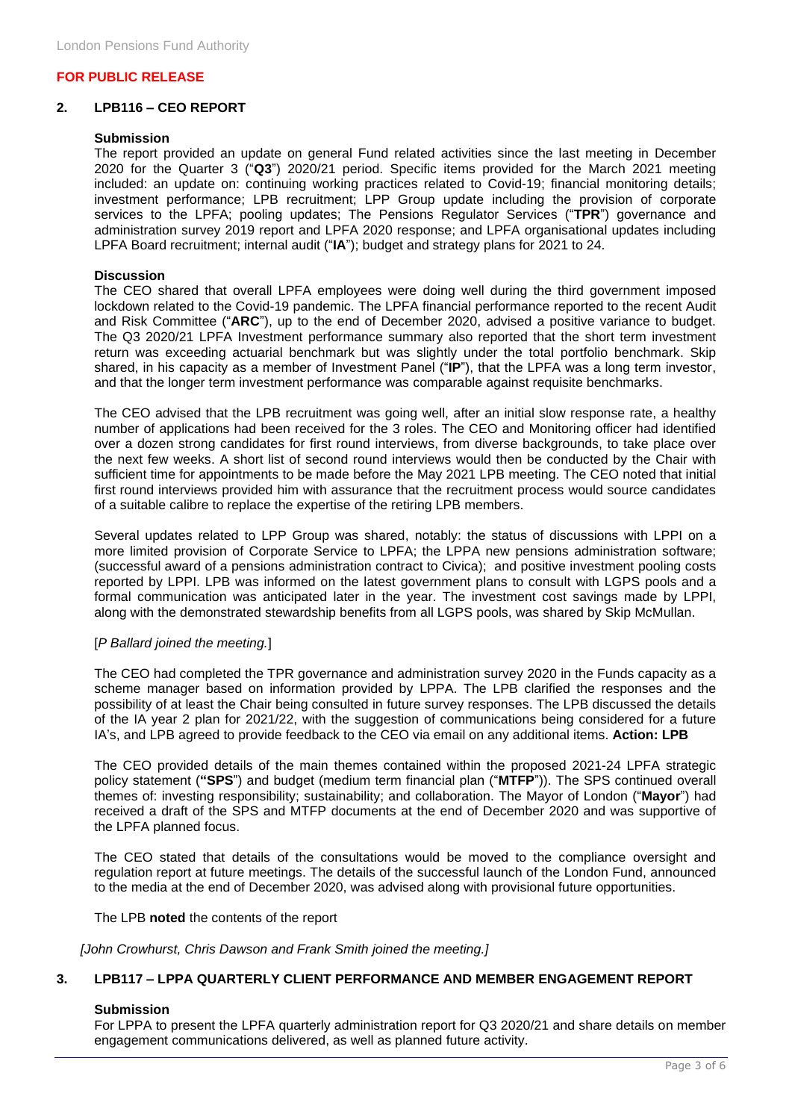# **2. LPB116 – CEO REPORT**

# **Submission**

The report provided an update on general Fund related activities since the last meeting in December 2020 for the Quarter 3 ("**Q3**") 2020/21 period. Specific items provided for the March 2021 meeting included: an update on: continuing working practices related to Covid-19; financial monitoring details; investment performance; LPB recruitment; LPP Group update including the provision of corporate services to the LPFA; pooling updates; The Pensions Regulator Services ("**TPR**") governance and administration survey 2019 report and LPFA 2020 response; and LPFA organisational updates including LPFA Board recruitment; internal audit ("**IA**"); budget and strategy plans for 2021 to 24.

# **Discussion**

The CEO shared that overall LPFA employees were doing well during the third government imposed lockdown related to the Covid-19 pandemic. The LPFA financial performance reported to the recent Audit and Risk Committee ("**ARC**"), up to the end of December 2020, advised a positive variance to budget. The Q3 2020/21 LPFA Investment performance summary also reported that the short term investment return was exceeding actuarial benchmark but was slightly under the total portfolio benchmark. Skip shared, in his capacity as a member of Investment Panel ("**IP**"), that the LPFA was a long term investor, and that the longer term investment performance was comparable against requisite benchmarks.

The CEO advised that the LPB recruitment was going well, after an initial slow response rate, a healthy number of applications had been received for the 3 roles. The CEO and Monitoring officer had identified over a dozen strong candidates for first round interviews, from diverse backgrounds, to take place over the next few weeks. A short list of second round interviews would then be conducted by the Chair with sufficient time for appointments to be made before the May 2021 LPB meeting. The CEO noted that initial first round interviews provided him with assurance that the recruitment process would source candidates of a suitable calibre to replace the expertise of the retiring LPB members.

Several updates related to LPP Group was shared, notably: the status of discussions with LPPI on a more limited provision of Corporate Service to LPFA; the LPPA new pensions administration software; (successful award of a pensions administration contract to Civica); and positive investment pooling costs reported by LPPI. LPB was informed on the latest government plans to consult with LGPS pools and a formal communication was anticipated later in the year. The investment cost savings made by LPPI, along with the demonstrated stewardship benefits from all LGPS pools, was shared by Skip McMullan.

# [*P Ballard joined the meeting.*]

The CEO had completed the TPR governance and administration survey 2020 in the Funds capacity as a scheme manager based on information provided by LPPA. The LPB clarified the responses and the possibility of at least the Chair being consulted in future survey responses. The LPB discussed the details of the IA year 2 plan for 2021/22, with the suggestion of communications being considered for a future IA's, and LPB agreed to provide feedback to the CEO via email on any additional items. **Action: LPB**

The CEO provided details of the main themes contained within the proposed 2021-24 LPFA strategic policy statement (**"SPS**") and budget (medium term financial plan ("**MTFP**")). The SPS continued overall themes of: investing responsibility; sustainability; and collaboration. The Mayor of London ("**Mayor**") had received a draft of the SPS and MTFP documents at the end of December 2020 and was supportive of the LPFA planned focus.

The CEO stated that details of the consultations would be moved to the compliance oversight and regulation report at future meetings. The details of the successful launch of the London Fund, announced to the media at the end of December 2020, was advised along with provisional future opportunities.

The LPB **noted** the contents of the report

*[John Crowhurst, Chris Dawson and Frank Smith joined the meeting.]*

# **3. LPB117 – LPPA QUARTERLY CLIENT PERFORMANCE AND MEMBER ENGAGEMENT REPORT**

# **Submission**

For LPPA to present the LPFA quarterly administration report for Q3 2020/21 and share details on member engagement communications delivered, as well as planned future activity.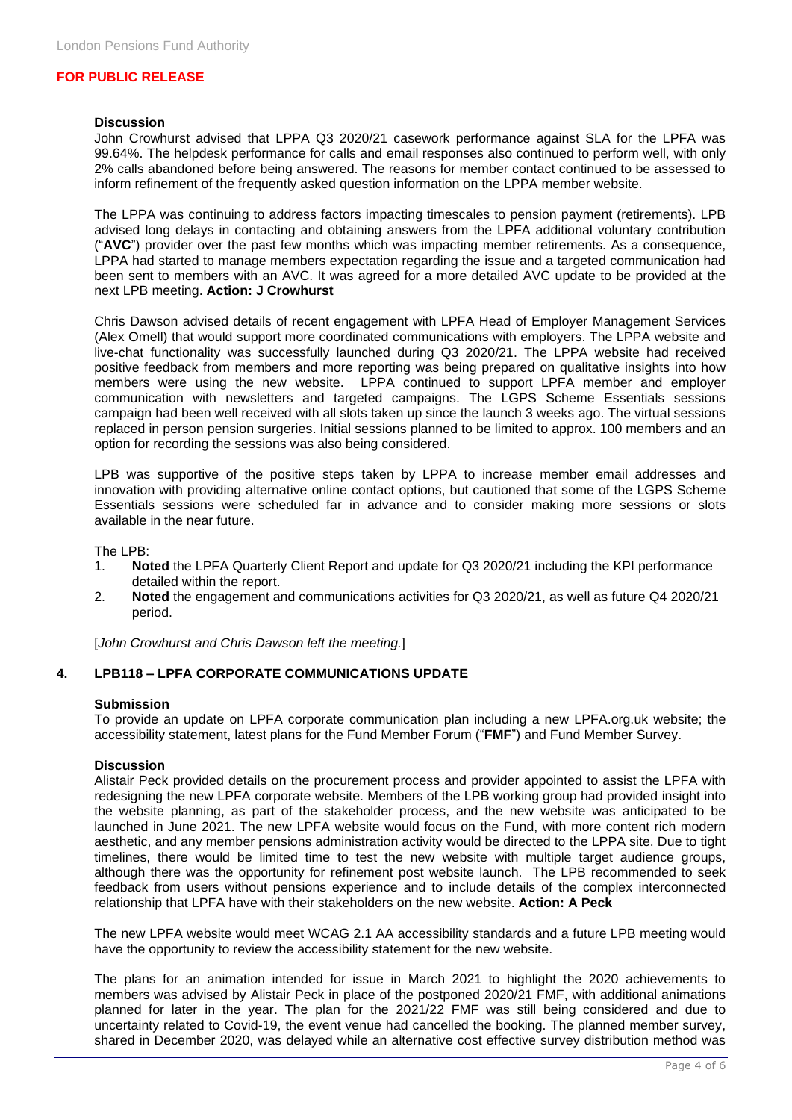#### **Discussion**

John Crowhurst advised that LPPA Q3 2020/21 casework performance against SLA for the LPFA was 99.64%. The helpdesk performance for calls and email responses also continued to perform well, with only 2% calls abandoned before being answered. The reasons for member contact continued to be assessed to inform refinement of the frequently asked question information on the LPPA member website.

The LPPA was continuing to address factors impacting timescales to pension payment (retirements). LPB advised long delays in contacting and obtaining answers from the LPFA additional voluntary contribution ("**AVC**") provider over the past few months which was impacting member retirements. As a consequence, LPPA had started to manage members expectation regarding the issue and a targeted communication had been sent to members with an AVC. It was agreed for a more detailed AVC update to be provided at the next LPB meeting. **Action: J Crowhurst**

Chris Dawson advised details of recent engagement with LPFA Head of Employer Management Services (Alex Omell) that would support more coordinated communications with employers. The LPPA website and live-chat functionality was successfully launched during Q3 2020/21. The LPPA website had received positive feedback from members and more reporting was being prepared on qualitative insights into how members were using the new website. LPPA continued to support LPFA member and employer communication with newsletters and targeted campaigns. The LGPS Scheme Essentials sessions campaign had been well received with all slots taken up since the launch 3 weeks ago. The virtual sessions replaced in person pension surgeries. Initial sessions planned to be limited to approx. 100 members and an option for recording the sessions was also being considered.

LPB was supportive of the positive steps taken by LPPA to increase member email addresses and innovation with providing alternative online contact options, but cautioned that some of the LGPS Scheme Essentials sessions were scheduled far in advance and to consider making more sessions or slots available in the near future.

The LPB:

- 1. **Noted** the LPFA Quarterly Client Report and update for Q3 2020/21 including the KPI performance detailed within the report.
- 2. **Noted** the engagement and communications activities for Q3 2020/21, as well as future Q4 2020/21 period.

[*John Crowhurst and Chris Dawson left the meeting.*]

# **4. LPB118 – LPFA CORPORATE COMMUNICATIONS UPDATE**

# **Submission**

To provide an update on LPFA corporate communication plan including a new LPFA.org.uk website; the accessibility statement, latest plans for the Fund Member Forum ("**FMF**") and Fund Member Survey.

# **Discussion**

Alistair Peck provided details on the procurement process and provider appointed to assist the LPFA with redesigning the new LPFA corporate website. Members of the LPB working group had provided insight into the website planning, as part of the stakeholder process, and the new website was anticipated to be launched in June 2021. The new LPFA website would focus on the Fund, with more content rich modern aesthetic, and any member pensions administration activity would be directed to the LPPA site. Due to tight timelines, there would be limited time to test the new website with multiple target audience groups, although there was the opportunity for refinement post website launch. The LPB recommended to seek feedback from users without pensions experience and to include details of the complex interconnected relationship that LPFA have with their stakeholders on the new website. **Action: A Peck**

The new LPFA website would meet WCAG 2.1 AA accessibility standards and a future LPB meeting would have the opportunity to review the accessibility statement for the new website.

The plans for an animation intended for issue in March 2021 to highlight the 2020 achievements to members was advised by Alistair Peck in place of the postponed 2020/21 FMF, with additional animations planned for later in the year. The plan for the 2021/22 FMF was still being considered and due to uncertainty related to Covid-19, the event venue had cancelled the booking. The planned member survey, shared in December 2020, was delayed while an alternative cost effective survey distribution method was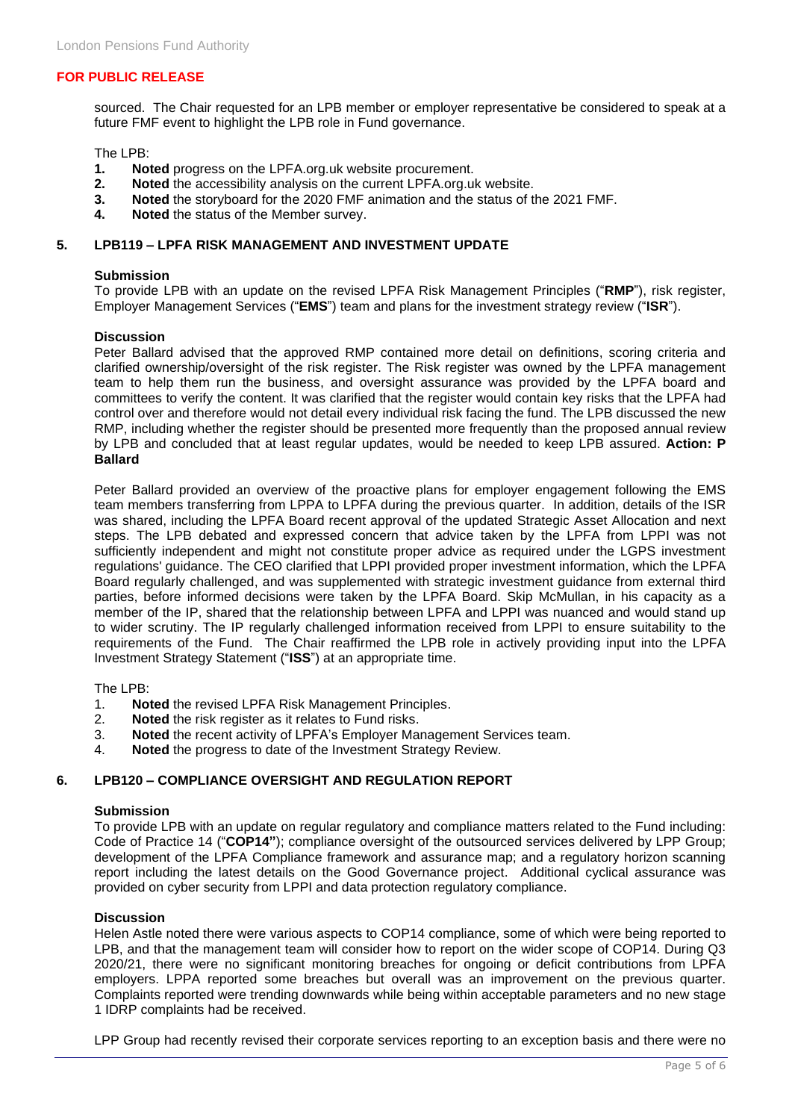sourced. The Chair requested for an LPB member or employer representative be considered to speak at a future FMF event to highlight the LPB role in Fund governance.

The LPB:<br>1. Not

- **1. Noted** progress on the LPFA.org.uk website procurement.<br>**2. Noted** the accessibility analysis on the current LPFA.org.u
- **2. Noted** the accessibility analysis on the current LPFA.org.uk website.<br>**3. Noted** the storyboard for the 2020 FMF animation and the status of the
- **3. Noted** the storyboard for the 2020 FMF animation and the status of the 2021 FMF.<br>**4 Noted** the status of the Member survey
- **4. Noted** the status of the Member survey.

# **5. LPB119 – LPFA RISK MANAGEMENT AND INVESTMENT UPDATE**

# **Submission**

To provide LPB with an update on the revised LPFA Risk Management Principles ("**RMP**"), risk register, Employer Management Services ("**EMS**") team and plans for the investment strategy review ("**ISR**").

# **Discussion**

Peter Ballard advised that the approved RMP contained more detail on definitions, scoring criteria and clarified ownership/oversight of the risk register. The Risk register was owned by the LPFA management team to help them run the business, and oversight assurance was provided by the LPFA board and committees to verify the content. It was clarified that the register would contain key risks that the LPFA had control over and therefore would not detail every individual risk facing the fund. The LPB discussed the new RMP, including whether the register should be presented more frequently than the proposed annual review by LPB and concluded that at least regular updates, would be needed to keep LPB assured. **Action: P Ballard**

Peter Ballard provided an overview of the proactive plans for employer engagement following the EMS team members transferring from LPPA to LPFA during the previous quarter. In addition, details of the ISR was shared, including the LPFA Board recent approval of the updated Strategic Asset Allocation and next steps. The LPB debated and expressed concern that advice taken by the LPFA from LPPI was not sufficiently independent and might not constitute proper advice as required under the LGPS investment regulations' guidance. The CEO clarified that LPPI provided proper investment information, which the LPFA Board regularly challenged, and was supplemented with strategic investment guidance from external third parties, before informed decisions were taken by the LPFA Board. Skip McMullan, in his capacity as a member of the IP, shared that the relationship between LPFA and LPPI was nuanced and would stand up to wider scrutiny. The IP regularly challenged information received from LPPI to ensure suitability to the requirements of the Fund. The Chair reaffirmed the LPB role in actively providing input into the LPFA Investment Strategy Statement ("**ISS**") at an appropriate time.

The LPB:

- 1. **Noted** the revised LPFA Risk Management Principles.
- 2. **Noted** the risk register as it relates to Fund risks.
- 3. **Noted** the recent activity of LPFA's Employer Management Services team.
- 4. **Noted** the progress to date of the Investment Strategy Review.

# **6. LPB120 – COMPLIANCE OVERSIGHT AND REGULATION REPORT**

# **Submission**

To provide LPB with an update on regular regulatory and compliance matters related to the Fund including: Code of Practice 14 ("**COP14"**); compliance oversight of the outsourced services delivered by LPP Group; development of the LPFA Compliance framework and assurance map; and a regulatory horizon scanning report including the latest details on the Good Governance project. Additional cyclical assurance was provided on cyber security from LPPI and data protection regulatory compliance.

# **Discussion**

Helen Astle noted there were various aspects to COP14 compliance, some of which were being reported to LPB, and that the management team will consider how to report on the wider scope of COP14. During Q3 2020/21, there were no significant monitoring breaches for ongoing or deficit contributions from LPFA employers. LPPA reported some breaches but overall was an improvement on the previous quarter. Complaints reported were trending downwards while being within acceptable parameters and no new stage 1 IDRP complaints had be received.

LPP Group had recently revised their corporate services reporting to an exception basis and there were no